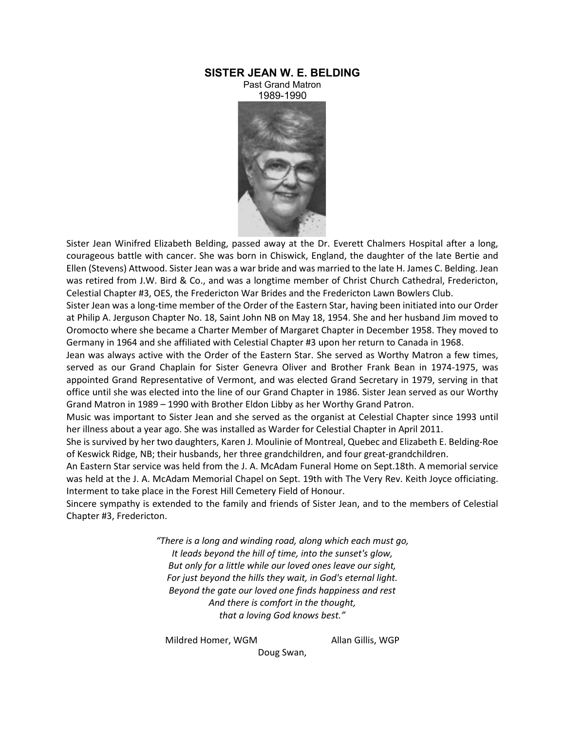## **SISTER JEAN W. E. BELDING**

Past Grand Matron 1989-1990



Sister Jean Winifred Elizabeth Belding, passed away at the Dr. Everett Chalmers Hospital after a long, courageous battle with cancer. She was born in Chiswick, England, the daughter of the late Bertie and Ellen (Stevens) Attwood. Sister Jean was a war bride and was married to the late H. James C. Belding. Jean was retired from J.W. Bird & Co., and was a longtime member of Christ Church Cathedral, Fredericton, Celestial Chapter #3, OES, the Fredericton War Brides and the Fredericton Lawn Bowlers Club.

Sister Jean was a long-time member of the Order of the Eastern Star, having been initiated into our Order at Philip A. Jerguson Chapter No. 18, Saint John NB on May 18, 1954. She and her husband Jim moved to Oromocto where she became a Charter Member of Margaret Chapter in December 1958. They moved to Germany in 1964 and she affiliated with Celestial Chapter #3 upon her return to Canada in 1968.

Jean was always active with the Order of the Eastern Star. She served as Worthy Matron a few times, served as our Grand Chaplain for Sister Genevra Oliver and Brother Frank Bean in 1974-1975, was appointed Grand Representative of Vermont, and was elected Grand Secretary in 1979, serving in that office until she was elected into the line of our Grand Chapter in 1986. Sister Jean served as our Worthy Grand Matron in 1989 – 1990 with Brother Eldon Libby as her Worthy Grand Patron.

Music was important to Sister Jean and she served as the organist at Celestial Chapter since 1993 until her illness about a year ago. She was installed as Warder for Celestial Chapter in April 2011.

She is survived by her two daughters, Karen J. Moulinie of Montreal, Quebec and Elizabeth E. Belding-Roe of Keswick Ridge, NB; their husbands, her three grandchildren, and four great-grandchildren.

An Eastern Star service was held from the J. A. McAdam Funeral Home on Sept.18th. A memorial service was held at the J. A. McAdam Memorial Chapel on Sept. 19th with The Very Rev. Keith Joyce officiating. Interment to take place in the Forest Hill Cemetery Field of Honour.

Sincere sympathy is extended to the family and friends of Sister Jean, and to the members of Celestial Chapter #3, Fredericton.

> *"There is a long and winding road, along which each must go, It leads beyond the hill of time, into the sunset's glow, But only for a little while our loved ones leave our sight, For just beyond the hills they wait, in God's eternal light. Beyond the gate our loved one finds happiness and rest And there is comfort in the thought, that a loving God knows best."*

Mildred Homer, WGM Allan Gillis, WGP

Doug Swan,